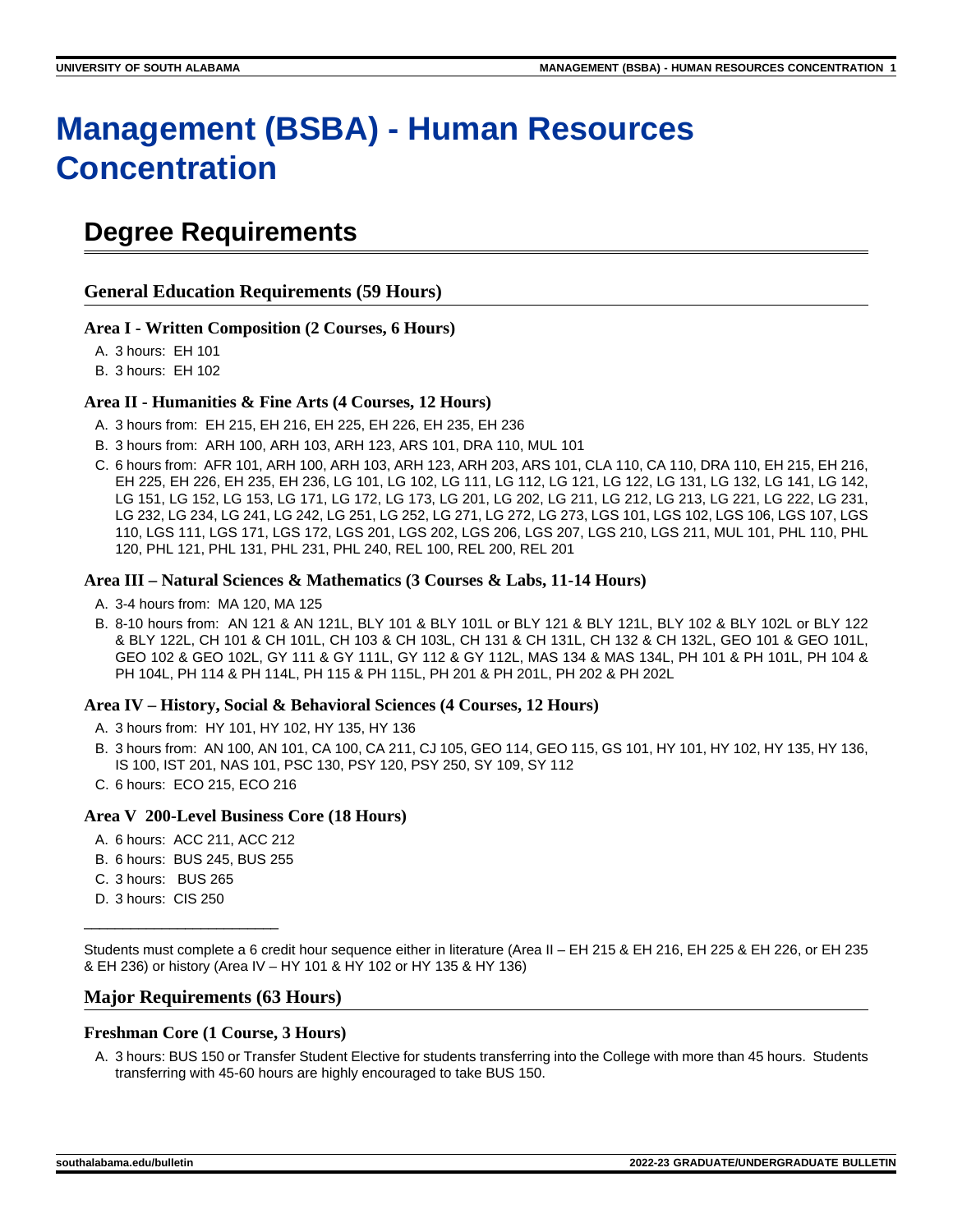# **Management (BSBA) - Human Resources Concentration**

# **Degree Requirements**

**General Education Requirements (59 Hours)**

#### **Area I - Written Composition (2 Courses, 6 Hours)**

A. 3 hours: EH 101

B. 3 hours: EH 102

#### **Area II - Humanities & Fine Arts (4 Courses, 12 Hours)**

- A. 3 hours from: EH 215, EH 216, EH 225, EH 226, EH 235, EH 236
- B. 3 hours from: ARH 100, ARH 103, ARH 123, ARS 101, DRA 110, MUL 101
- C. 6 hours from: AFR 101, ARH 100, ARH 103, ARH 123, ARH 203, ARS 101, CLA 110, CA 110, DRA 110, EH 215, EH 216, EH 225, EH 226, EH 235, EH 236, LG 101, LG 102, LG 111, LG 112, LG 121, LG 122, LG 131, LG 132, LG 141, LG 142, LG 151, LG 152, LG 153, LG 171, LG 172, LG 173, LG 201, LG 202, LG 211, LG 212, LG 213, LG 221, LG 222, LG 231, LG 232, LG 234, LG 241, LG 242, LG 251, LG 252, LG 271, LG 272, LG 273, LGS 101, LGS 102, LGS 106, LGS 107, LGS 110, LGS 111, LGS 171, LGS 172, LGS 201, LGS 202, LGS 206, LGS 207, LGS 210, LGS 211, MUL 101, PHL 110, PHL 120, PHL 121, PHL 131, PHL 231, PHL 240, REL 100, REL 200, REL 201

#### **Area III – Natural Sciences & Mathematics (3 Courses & Labs, 11-14 Hours)**

- A. 3-4 hours from: MA 120, MA 125
- B. 8-10 hours from: AN 121 & AN 121L, BLY 101 & BLY 101L or BLY 121 & BLY 121L, BLY 102 & BLY 102L or BLY 122 & BLY 122L, CH 101 & CH 101L, CH 103 & CH 103L, CH 131 & CH 131L, CH 132 & CH 132L, GEO 101 & GEO 101L, GEO 102 & GEO 102L, GY 111 & GY 111L, GY 112 & GY 112L, MAS 134 & MAS 134L, PH 101 & PH 101L, PH 104 & PH 104L, PH 114 & PH 114L, PH 115 & PH 115L, PH 201 & PH 201L, PH 202 & PH 202L

#### **Area IV – History, Social & Behavioral Sciences (4 Courses, 12 Hours)**

- A. 3 hours from: HY 101, HY 102, HY 135, HY 136
- B. 3 hours from: AN 100, AN 101, CA 100, CA 211, CJ 105, GEO 114, GEO 115, GS 101, HY 101, HY 102, HY 135, HY 136, IS 100, IST 201, NAS 101, PSC 130, PSY 120, PSY 250, SY 109, SY 112
- C. 6 hours: ECO 215, ECO 216

#### **Area V 200-Level Business Core (18 Hours)**

- A. 6 hours: ACC 211, ACC 212
- B. 6 hours: BUS 245, BUS 255
- C. 3 hours: BUS 265
- D. 3 hours: CIS 250

\_\_\_\_\_\_\_\_\_\_\_\_\_\_\_\_\_\_\_\_\_\_\_\_\_

Students must complete a 6 credit hour sequence either in literature (Area II – EH 215 & EH 216, EH 225 & EH 226, or EH 235 & EH 236) or history (Area IV – HY 101 & HY 102 or HY 135 & HY 136)

### **Major Requirements (63 Hours)**

# **Freshman Core (1 Course, 3 Hours)**

A. 3 hours: BUS 150 or Transfer Student Elective for students transferring into the College with more than 45 hours. Students transferring with 45-60 hours are highly encouraged to take BUS 150.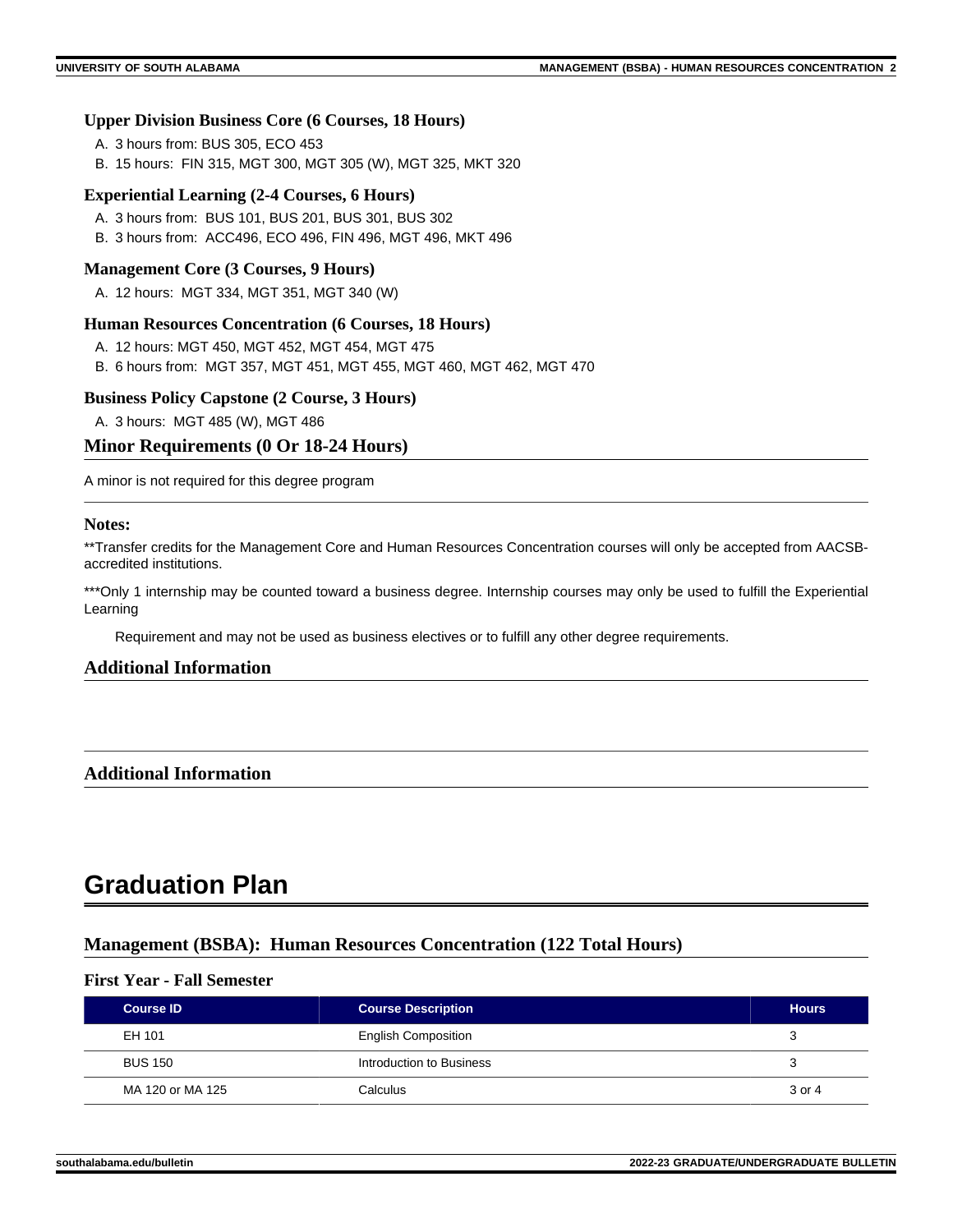#### **Upper Division Business Core (6 Courses, 18 Hours)**

- A. 3 hours from: BUS 305, ECO 453
- B. 15 hours: FIN 315, MGT 300, MGT 305 (W), MGT 325, MKT 320

#### **Experiential Learning (2-4 Courses, 6 Hours)**

- A. 3 hours from: BUS 101, BUS 201, BUS 301, BUS 302
- B. 3 hours from: ACC496, ECO 496, FIN 496, MGT 496, MKT 496

#### **Management Core (3 Courses, 9 Hours)**

A. 12 hours: MGT 334, MGT 351, MGT 340 (W)

#### **Human Resources Concentration (6 Courses, 18 Hours)**

- A. 12 hours: MGT 450, MGT 452, MGT 454, MGT 475
- B. 6 hours from: MGT 357, MGT 451, MGT 455, MGT 460, MGT 462, MGT 470

#### **Business Policy Capstone (2 Course, 3 Hours)**

A. 3 hours: MGT 485 (W), MGT 486

### **Minor Requirements (0 Or 18-24 Hours)**

A minor is not required for this degree program

#### **Notes:**

\*\*Transfer credits for the Management Core and Human Resources Concentration courses will only be accepted from AACSBaccredited institutions.

\*\*\*Only 1 internship may be counted toward a business degree. Internship courses may only be used to fulfill the Experiential Learning

Requirement and may not be used as business electives or to fulfill any other degree requirements.

### **Additional Information**

### **Additional Information**

# **Graduation Plan**

### **Management (BSBA): Human Resources Concentration (122 Total Hours)**

#### **First Year - Fall Semester**

| <b>Course ID</b> | <b>Course Description</b>  | <b>Hours</b> |
|------------------|----------------------------|--------------|
| EH 101           | <b>English Composition</b> | З            |
| <b>BUS 150</b>   | Introduction to Business   | 3            |
| MA 120 or MA 125 | Calculus                   | 3 or 4       |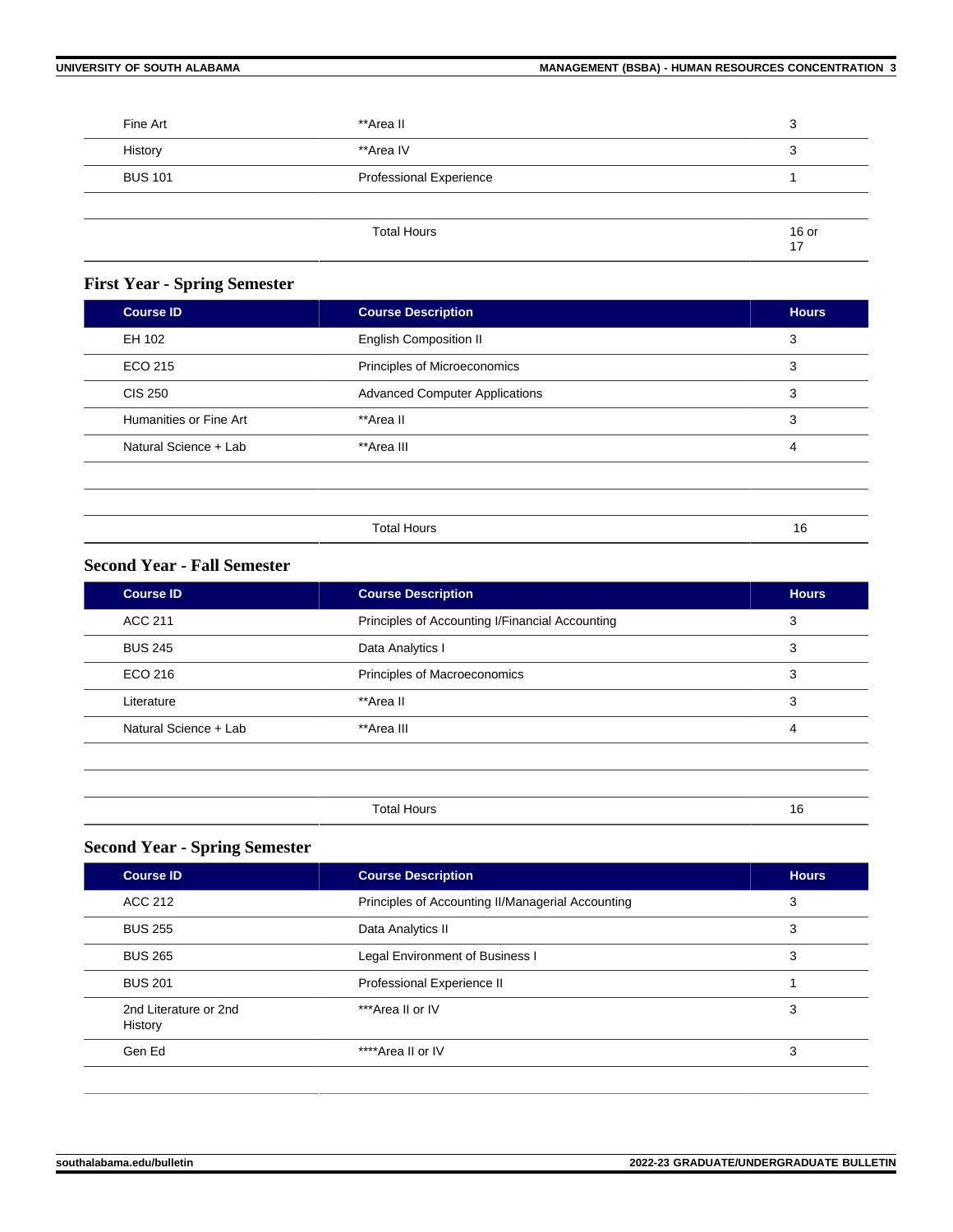| **Area II                      | 3             |
|--------------------------------|---------------|
| **Area IV                      | 3             |
| <b>Professional Experience</b> |               |
|                                |               |
| <b>Total Hours</b>             | $16$ or<br>17 |
|                                |               |

# **First Year - Spring Semester**

| <b>Course ID</b>       | <b>Course Description</b>             | <b>Hours</b> |
|------------------------|---------------------------------------|--------------|
| EH 102                 | <b>English Composition II</b>         | 3            |
| ECO 215                | Principles of Microeconomics          | 3            |
| <b>CIS 250</b>         | <b>Advanced Computer Applications</b> | 3            |
| Humanities or Fine Art | **Area II                             | 3            |
| Natural Science + Lab  | **Area III                            | 4            |
|                        |                                       |              |

| ⊤ິ∩†⊱ | . . |
|-------|-----|
|       |     |

# **Second Year - Fall Semester**

| <b>Course ID</b>      | <b>Course Description</b>                       | <b>Hours</b> |
|-----------------------|-------------------------------------------------|--------------|
| <b>ACC 211</b>        | Principles of Accounting I/Financial Accounting | 3            |
| <b>BUS 245</b>        | Data Analytics I                                | 3            |
| ECO 216               | Principles of Macroeconomics                    | 3            |
| Literature            | **Area II                                       | 3            |
| Natural Science + Lab | **Area III                                      | 4            |
|                       |                                                 |              |
|                       |                                                 |              |

| . |  |
|---|--|

# **Second Year - Spring Semester**

| <b>Course ID</b>                 | <b>Course Description</b>                         | <b>Hours</b> |
|----------------------------------|---------------------------------------------------|--------------|
| ACC 212                          | Principles of Accounting II/Managerial Accounting | 3            |
| <b>BUS 255</b>                   | Data Analytics II                                 | 3            |
| <b>BUS 265</b>                   | Legal Environment of Business I                   | 3            |
| <b>BUS 201</b>                   | Professional Experience II                        |              |
| 2nd Literature or 2nd<br>History | ***Area II or IV                                  | 3            |
| Gen Ed                           | ****Area II or IV                                 | 3            |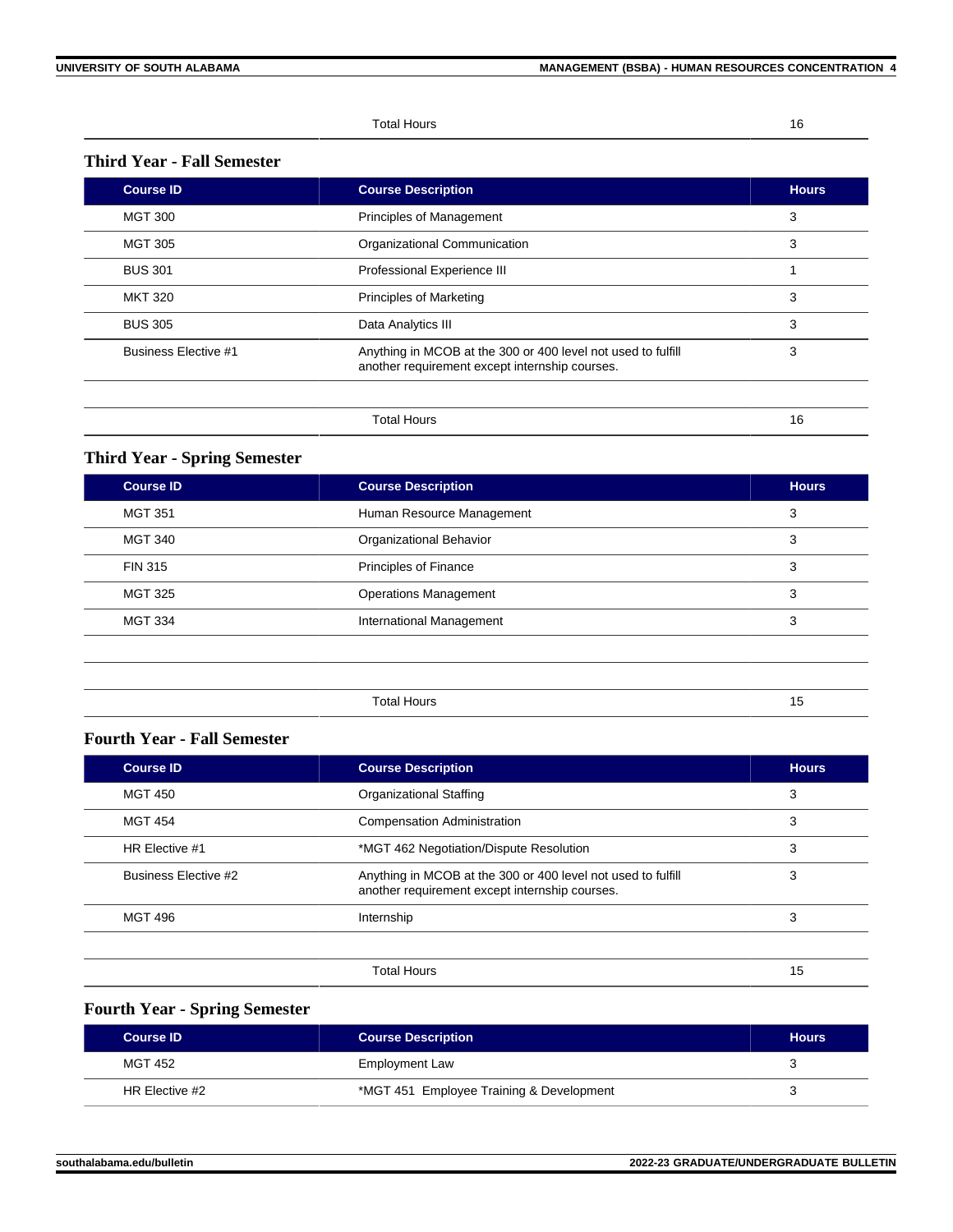Total Hours 16

# **Third Year - Fall Semester**

| <b>Course ID</b>            | <b>Course Description</b>                                                                                      | <b>Hours</b> |
|-----------------------------|----------------------------------------------------------------------------------------------------------------|--------------|
| <b>MGT 300</b>              | Principles of Management                                                                                       | 3            |
| <b>MGT 305</b>              | Organizational Communication                                                                                   | 3            |
| <b>BUS 301</b>              | Professional Experience III                                                                                    |              |
| <b>MKT 320</b>              | <b>Principles of Marketing</b>                                                                                 | 3            |
| <b>BUS 305</b>              | Data Analytics III                                                                                             | 3            |
| <b>Business Elective #1</b> | Anything in MCOB at the 300 or 400 level not used to fulfill<br>another requirement except internship courses. | 3            |
|                             | <b>Total Hours</b>                                                                                             | 16           |

# **Third Year - Spring Semester**

| <b>Course ID</b> | <b>Course Description</b>      | <b>Hours</b> |
|------------------|--------------------------------|--------------|
| <b>MGT 351</b>   | Human Resource Management      | 3            |
| <b>MGT 340</b>   | <b>Organizational Behavior</b> | 3            |
| <b>FIN 315</b>   | Principles of Finance          | 3            |
| <b>MGT 325</b>   | <b>Operations Management</b>   | 3            |
| <b>MGT 334</b>   | International Management       | 3            |
|                  |                                |              |
|                  |                                |              |
|                  | <b>Total Hours</b>             | 15           |
|                  |                                |              |

# **Fourth Year - Fall Semester**

| <b>Course ID</b>            | <b>Course Description</b>                                                                                      | <b>Hours</b> |
|-----------------------------|----------------------------------------------------------------------------------------------------------------|--------------|
| <b>MGT 450</b>              | Organizational Staffing                                                                                        | 3            |
| <b>MGT 454</b>              | <b>Compensation Administration</b>                                                                             | 3            |
| HR Elective #1              | *MGT 462 Negotiation/Dispute Resolution                                                                        | 3            |
| <b>Business Elective #2</b> | Anything in MCOB at the 300 or 400 level not used to fulfill<br>another requirement except internship courses. | 3            |
| <b>MGT 496</b>              | Internship                                                                                                     | 3            |
|                             |                                                                                                                |              |
|                             | <b>Total Hours</b>                                                                                             | 15           |

# **Fourth Year - Spring Semester**

| <b>Course ID</b> | <b>Course Description</b>                | <b>Hours</b> |
|------------------|------------------------------------------|--------------|
| MGT 452          | <b>Employment Law</b>                    |              |
| HR Elective #2   | *MGT 451 Employee Training & Development |              |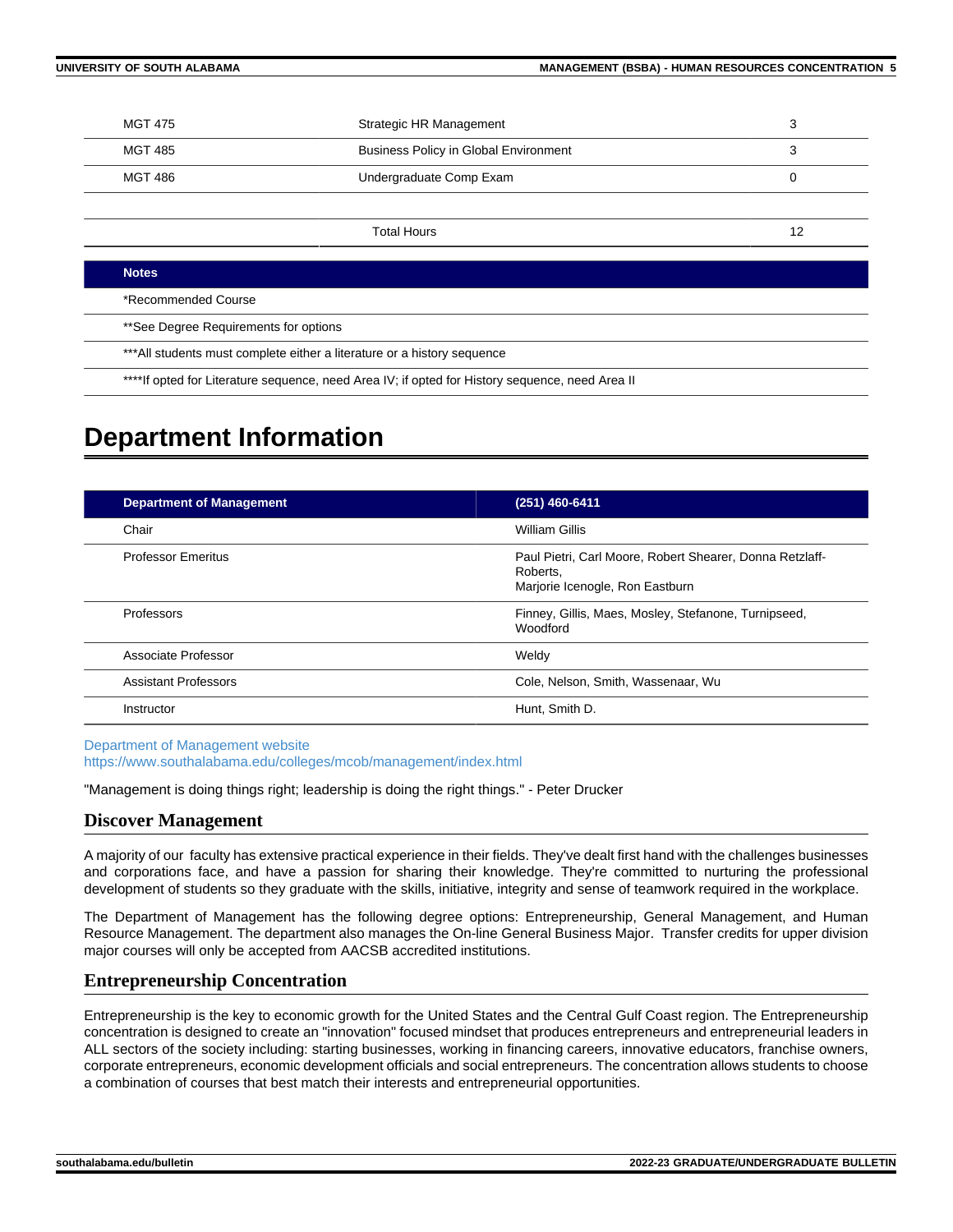| MGT 475 | Strategic HR Management                      |  |
|---------|----------------------------------------------|--|
| MGT 485 | <b>Business Policy in Global Environment</b> |  |
| MGT 486 | Undergraduate Comp Exam                      |  |
|         |                                              |  |

Total Hours 12

#### **Notes**

\*Recommended Course

\*\*See Degree Requirements for options

\*\*\*All students must complete either a literature or a history sequence

\*\*\*\*If opted for Literature sequence, need Area IV; if opted for History sequence, need Area II

# **Department Information**

| <b>Department of Management</b> | (251) 460-6411                                                                                          |
|---------------------------------|---------------------------------------------------------------------------------------------------------|
| Chair                           | William Gillis                                                                                          |
| <b>Professor Emeritus</b>       | Paul Pietri, Carl Moore, Robert Shearer, Donna Retzlaff-<br>Roberts.<br>Marjorie Icenogle, Ron Eastburn |
| Professors                      | Finney, Gillis, Maes, Mosley, Stefanone, Turnipseed,<br>Woodford                                        |
| Associate Professor             | Weldy                                                                                                   |
| <b>Assistant Professors</b>     | Cole, Nelson, Smith, Wassenaar, Wu                                                                      |
| Instructor                      | Hunt, Smith D.                                                                                          |

[Department of Management website](https://www.southalabama.edu/colleges/mcob/management/index.html) <https://www.southalabama.edu/colleges/mcob/management/index.html>

"Management is doing things right; leadership is doing the right things." - Peter Drucker

#### **Discover Management**

A majority of our faculty has extensive practical experience in their fields. They've dealt first hand with the challenges businesses and corporations face, and have a passion for sharing their knowledge. They're committed to nurturing the professional development of students so they graduate with the skills, initiative, integrity and sense of teamwork required in the workplace.

The Department of Management has the following degree options: Entrepreneurship, General Management, and Human Resource Management. The department also manages the On-line General Business Major. Transfer credits for upper division major courses will only be accepted from AACSB accredited institutions.

### **Entrepreneurship Concentration**

Entrepreneurship is the key to economic growth for the United States and the Central Gulf Coast region. The Entrepreneurship concentration is designed to create an "innovation" focused mindset that produces entrepreneurs and entrepreneurial leaders in ALL sectors of the society including: starting businesses, working in financing careers, innovative educators, franchise owners, corporate entrepreneurs, economic development officials and social entrepreneurs. The concentration allows students to choose a combination of courses that best match their interests and entrepreneurial opportunities.